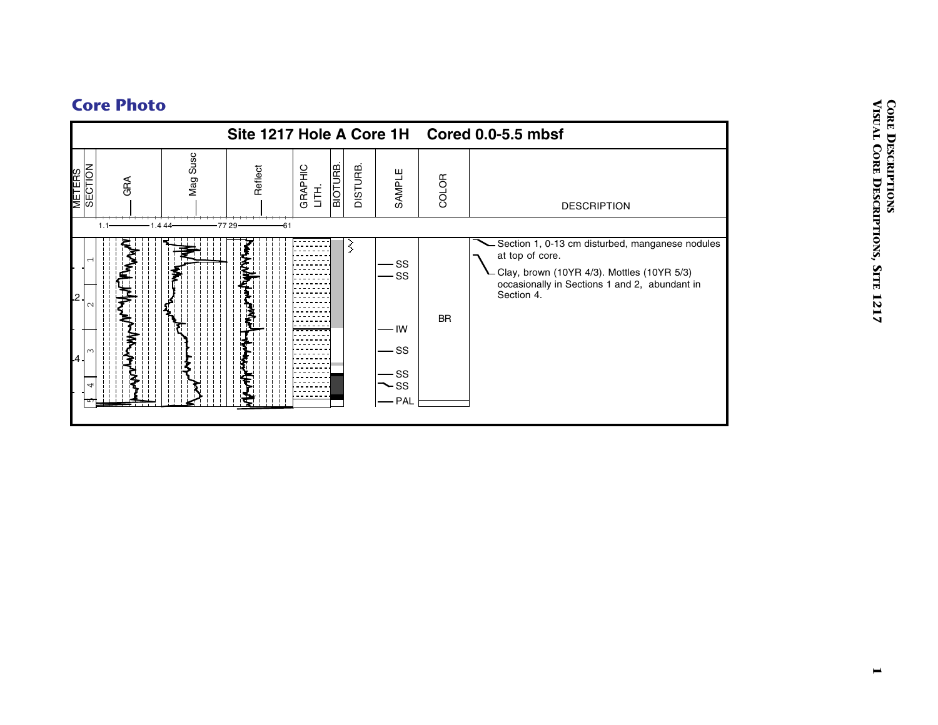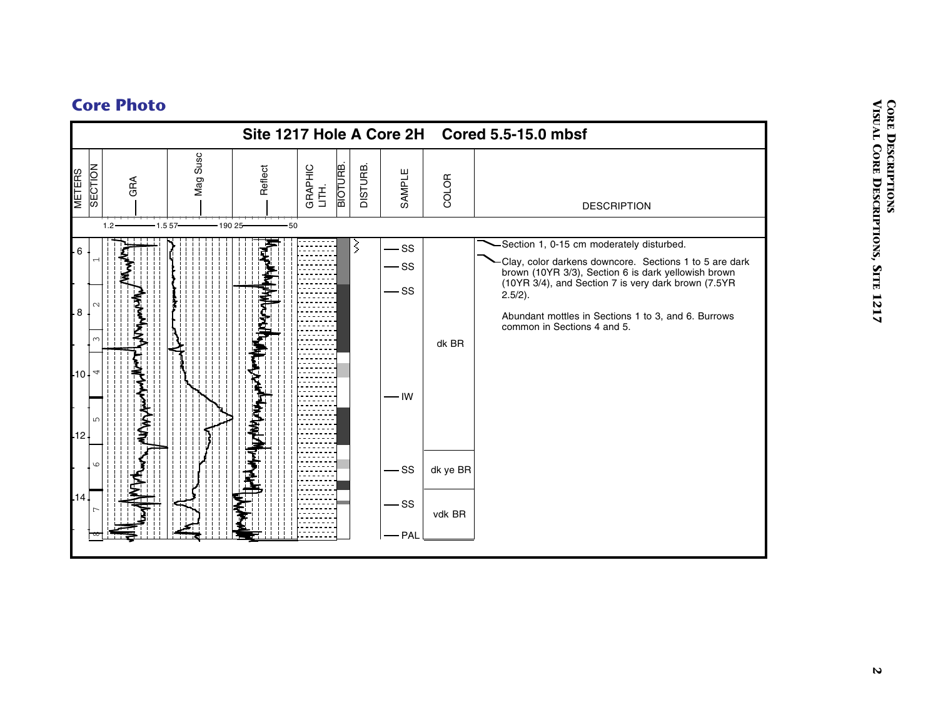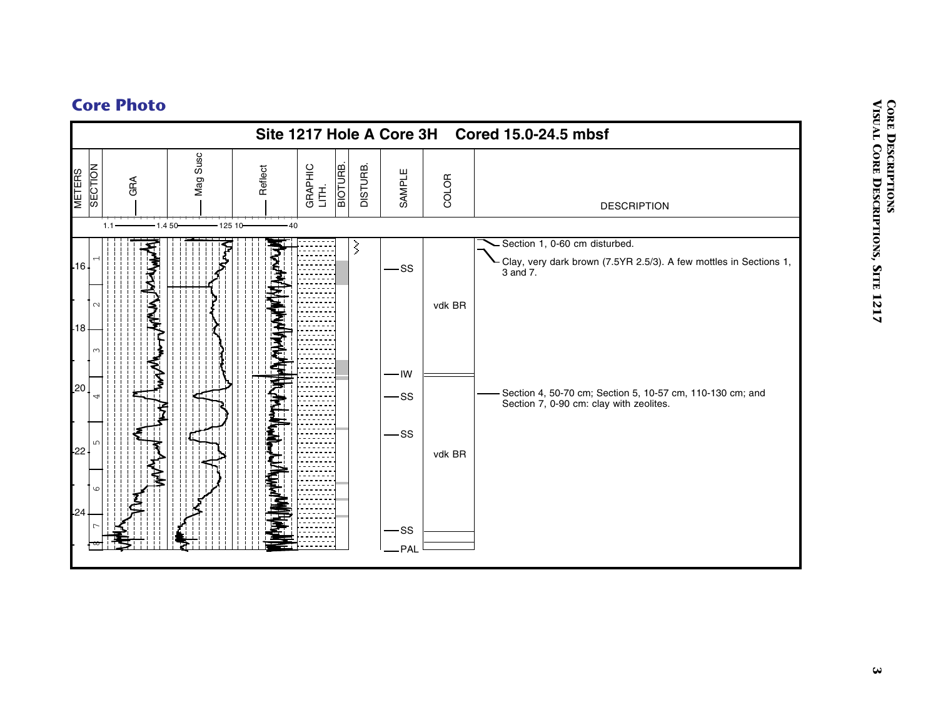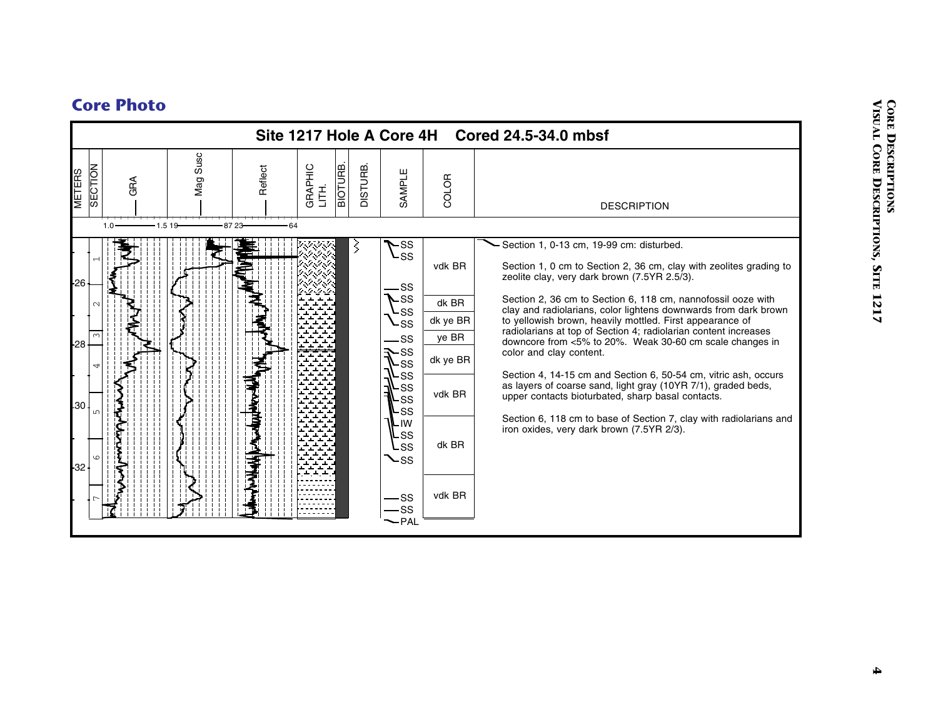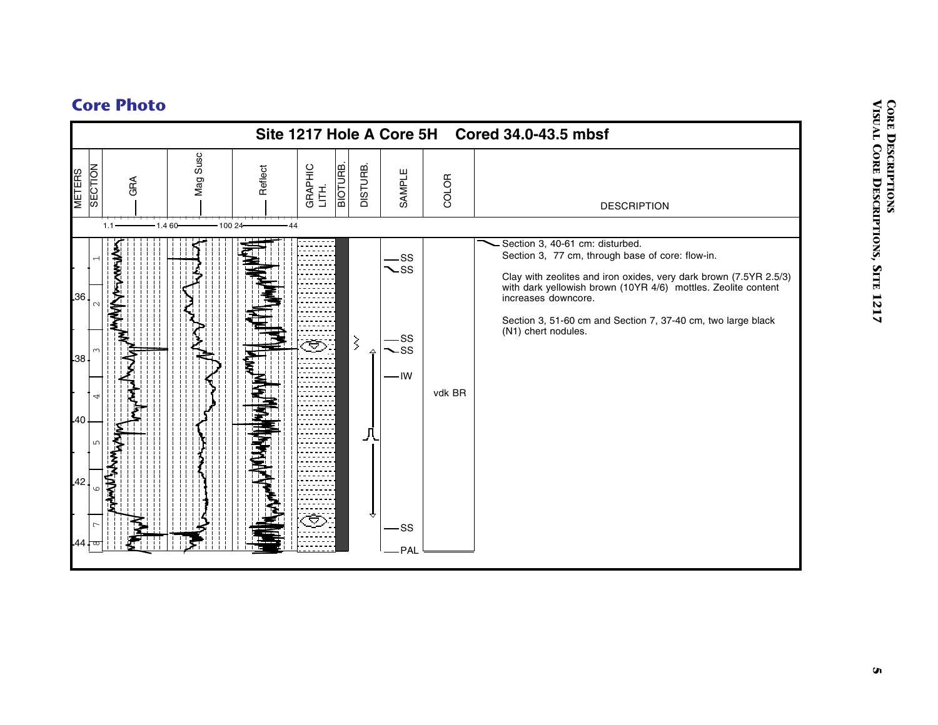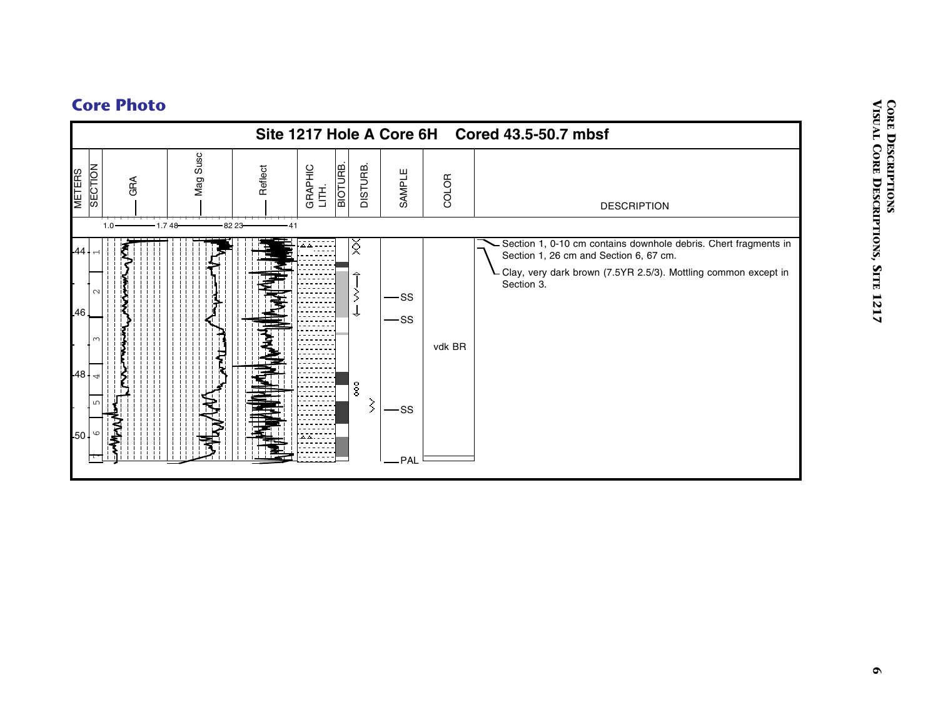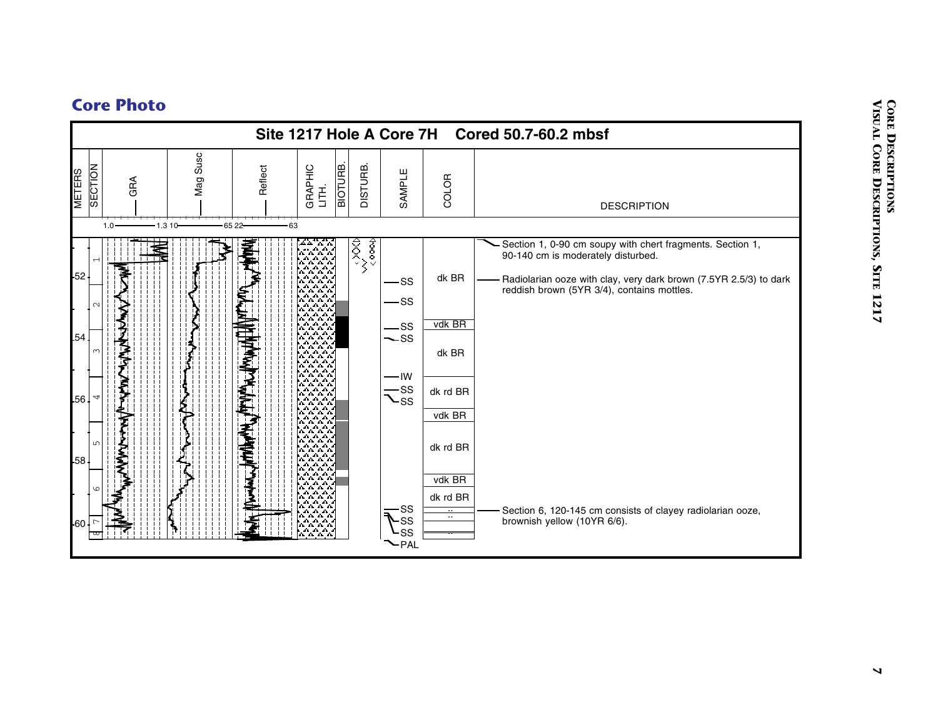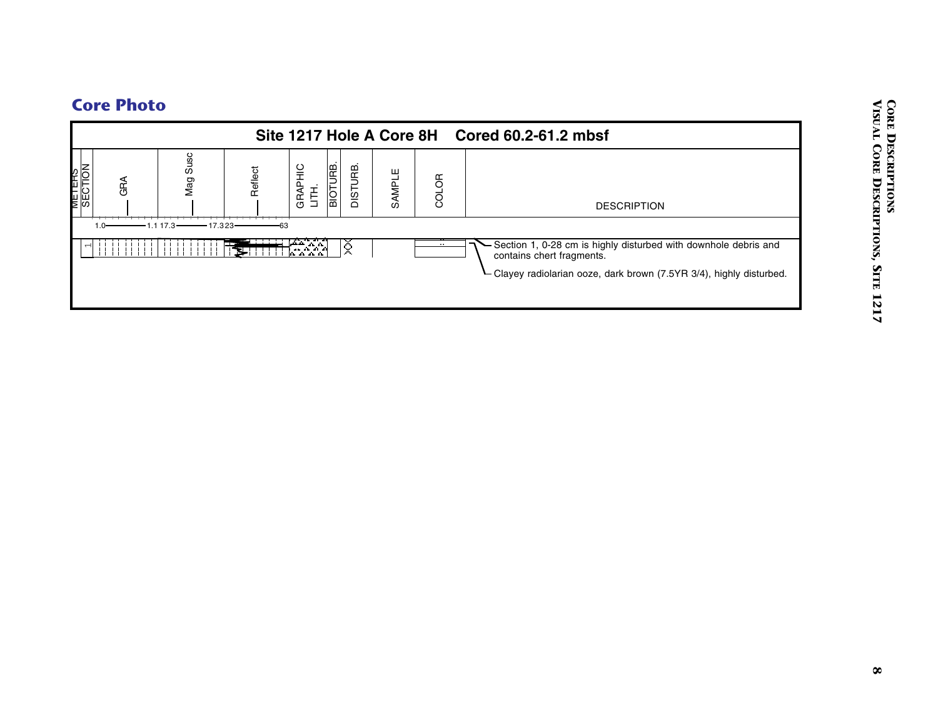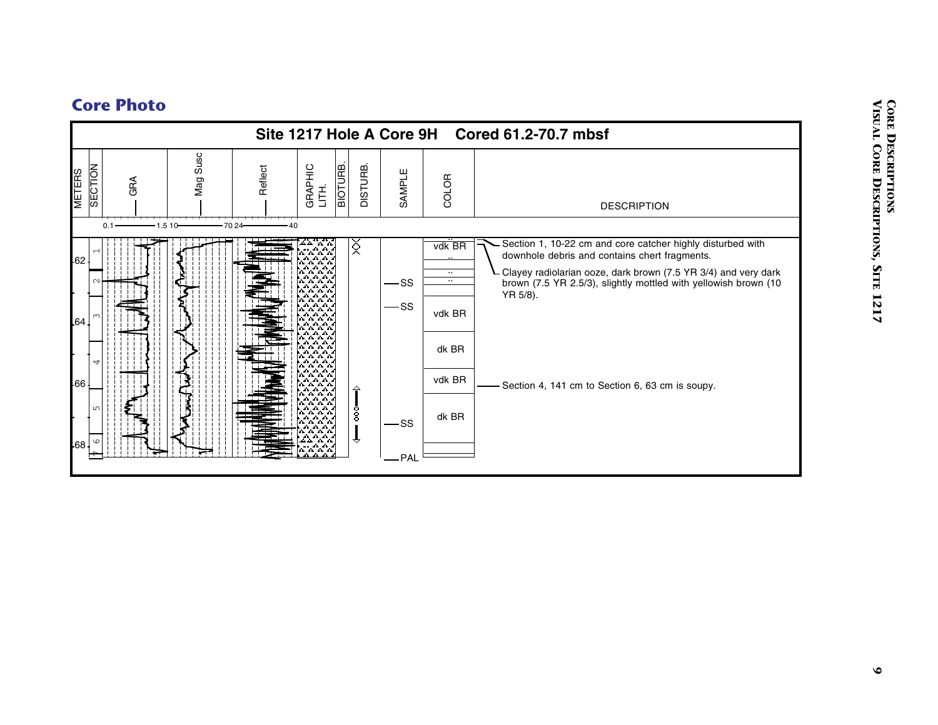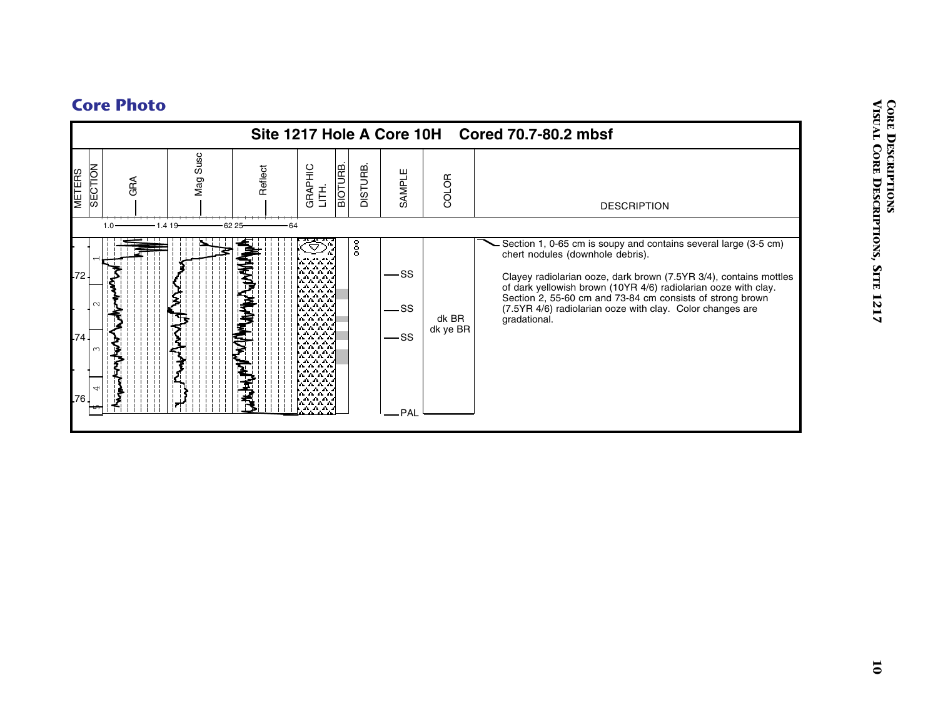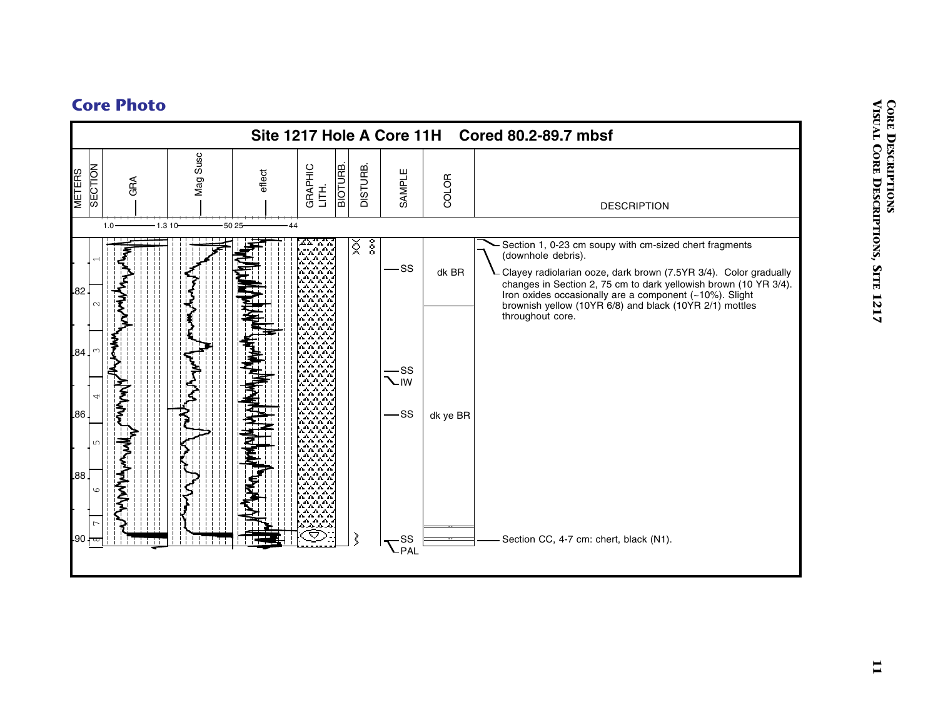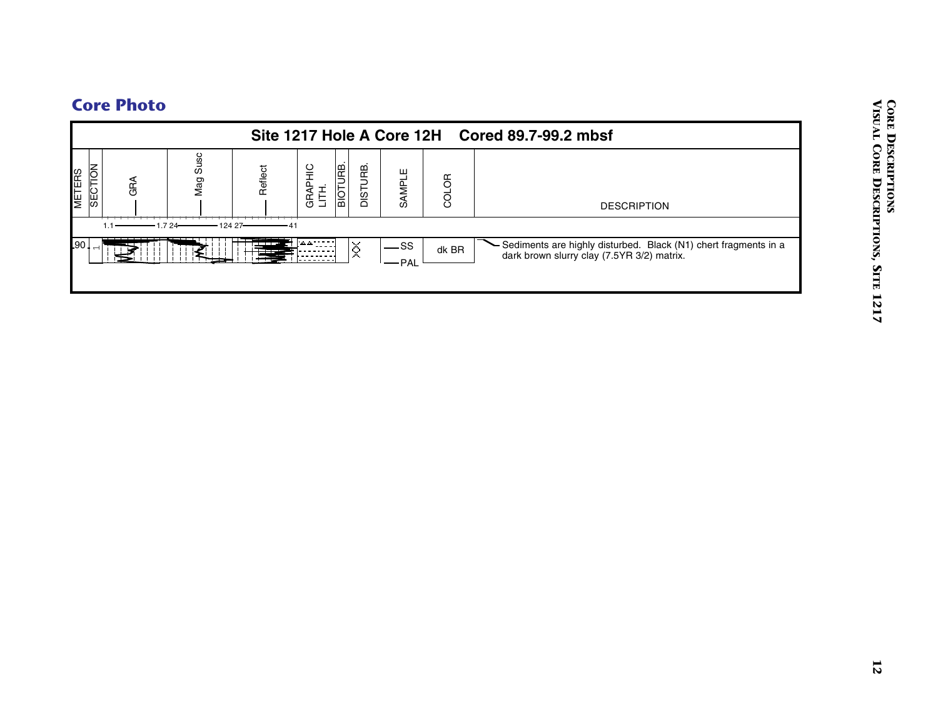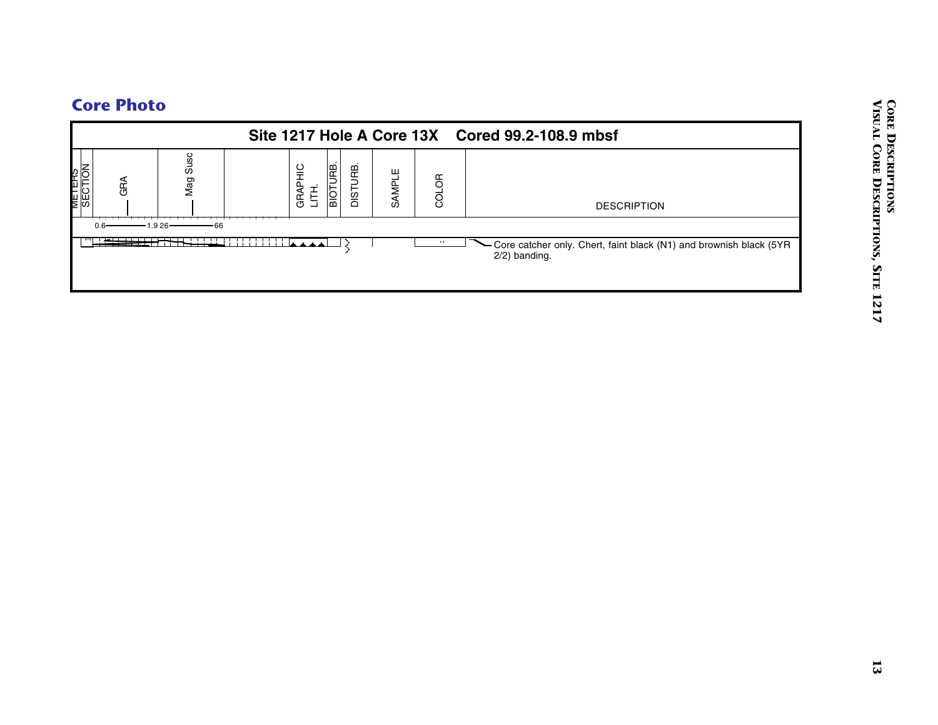# Core Photo<br>
Site 1217 Hole A Core 13X Cored 99.2-108.9 mbsf<br>  $\frac{1}{3}$ <br>  $\frac{1}{3}$ <br>  $\frac{1}{3}$ <br>  $\frac{1}{3}$ <br>  $\frac{1}{3}$ <br>  $\frac{1}{3}$ <br>  $\frac{1}{3}$ <br>  $\frac{1}{3}$ <br>  $\frac{1}{3}$ <br>  $\frac{1}{3}$ <br>  $\frac{1}{3}$ <br>  $\frac{1}{3}$ <br>  $\frac{1}{3}$ <br>  $\frac{1}{3}$ <br>  $\frac{1}{3$ METERS 1 SECTION 0.6 1.9 GRA 26 66 Mag Susc GRAPHIC GRAPHIC<br>LITH. BIOTURB. DISTURB. SAMPLE .. COLOR Core catcher only. Chert, faint black (N1) and brownish black (5YR 2/2) banding. DESCRIPTION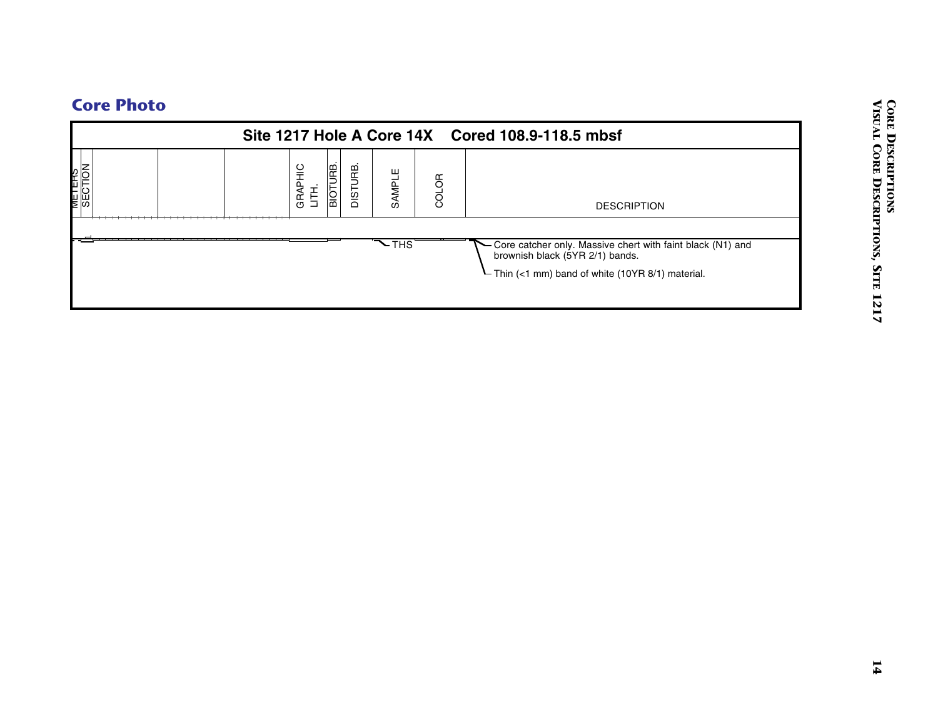|                          |                  |                             |                              |       | Site 1217 Hole A Core 14X Cored 108.9-118.5 mbsf                                                                                                     |
|--------------------------|------------------|-----------------------------|------------------------------|-------|------------------------------------------------------------------------------------------------------------------------------------------------------|
| <b>METERS</b><br>SECTION | GRAPHIC<br>LITH. | <b>BIOTURE.</b><br>DISTURB. | SAMPLE                       | COLOR | <b>DESCRIPTION</b>                                                                                                                                   |
|                          |                  |                             | $\overline{\mathcal{L}}$ THS |       | - Core catcher only. Massive chert with faint black (N1) and<br>brownish black (5YR 2/1) bands.<br>- Thin (<1 mm) band of white (10YR 8/1) material. |
|                          |                  |                             |                              |       |                                                                                                                                                      |
|                          |                  |                             |                              |       |                                                                                                                                                      |
|                          |                  |                             |                              |       |                                                                                                                                                      |
|                          |                  |                             |                              |       |                                                                                                                                                      |
|                          |                  |                             |                              |       |                                                                                                                                                      |
|                          |                  |                             |                              |       |                                                                                                                                                      |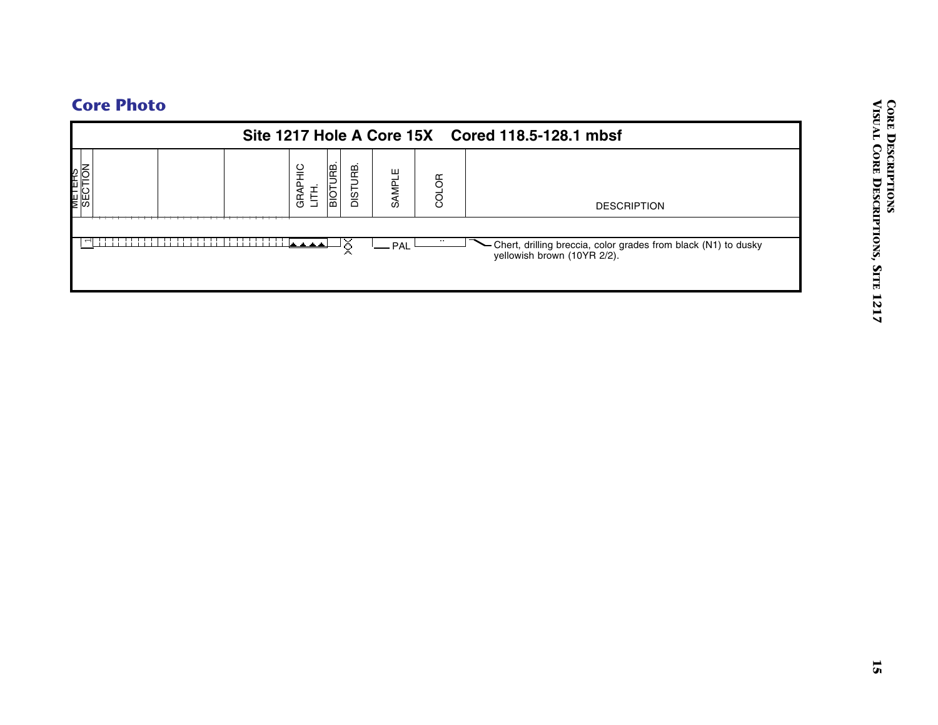|                          |   |                  |                      |        |          | Site 1217 Hole A Core 15X Cored 118.5-128.1 mbsf                                           |
|--------------------------|---|------------------|----------------------|--------|----------|--------------------------------------------------------------------------------------------|
| <b>METERS</b><br>SECTION |   | GRAPHIC<br>LITH. | BIOTURB.<br>DISTURB. | SAMPLE | COLOR    | <b>DESCRIPTION</b>                                                                         |
|                          | . |                  | X                    | - PAL  | $\cdots$ | Chert, drilling breccia, color grades from black (N1) to dusky yellowish brown (10YR 2/2). |
|                          |   |                  |                      |        |          |                                                                                            |
|                          |   |                  |                      |        |          |                                                                                            |
|                          |   |                  |                      |        |          |                                                                                            |
|                          |   |                  |                      |        |          |                                                                                            |
|                          |   |                  |                      |        |          |                                                                                            |
|                          |   |                  |                      |        |          |                                                                                            |
|                          |   |                  |                      |        |          |                                                                                            |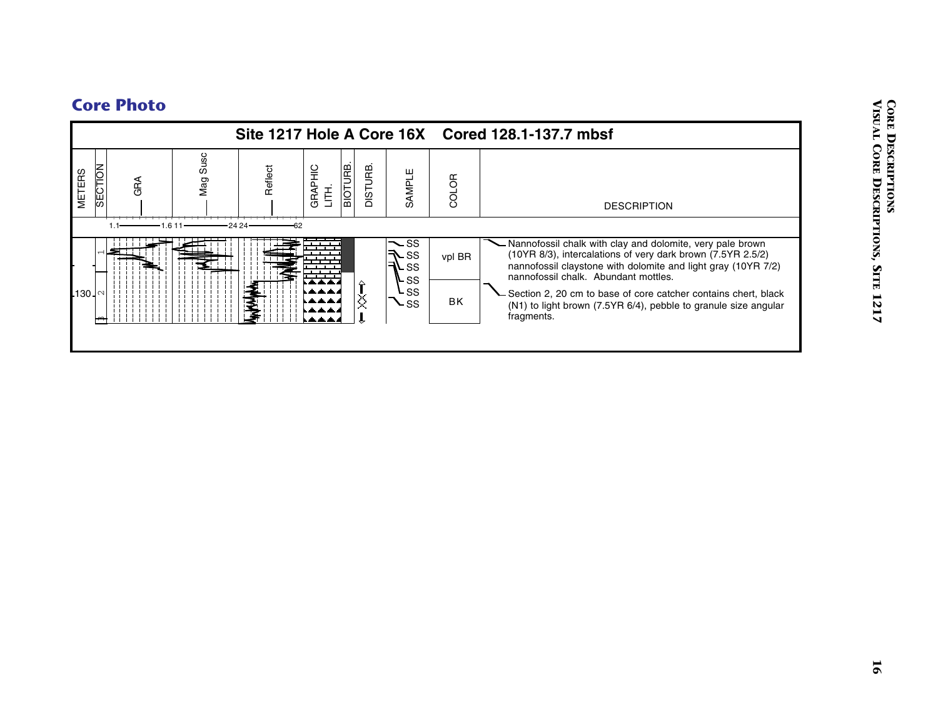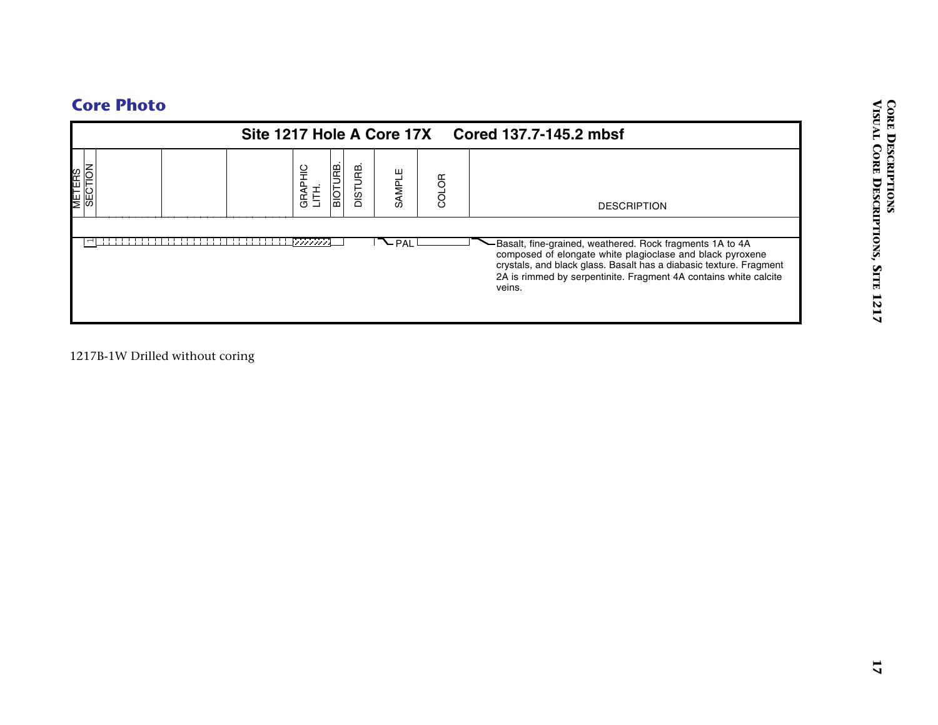| BIOTURB.<br>GRAPHIC<br>LITH.<br><b>SECTION</b><br>DISTURB.<br>SAMPLE<br>COLOR<br><b>DESCRIPTION</b><br>$\nabla$ PAL<br>-Basalt, fine-grained, weathered. Rock fragments 1A to 4A<br>composed of elongate white plagioclase and black pyroxene<br>crystals, and black glass. Basalt has a diabasic texture. Fragment |
|---------------------------------------------------------------------------------------------------------------------------------------------------------------------------------------------------------------------------------------------------------------------------------------------------------------------|
|                                                                                                                                                                                                                                                                                                                     |
| 2A is rimmed by serpentinite. Fragment 4A contains white calcite<br>veins.                                                                                                                                                                                                                                          |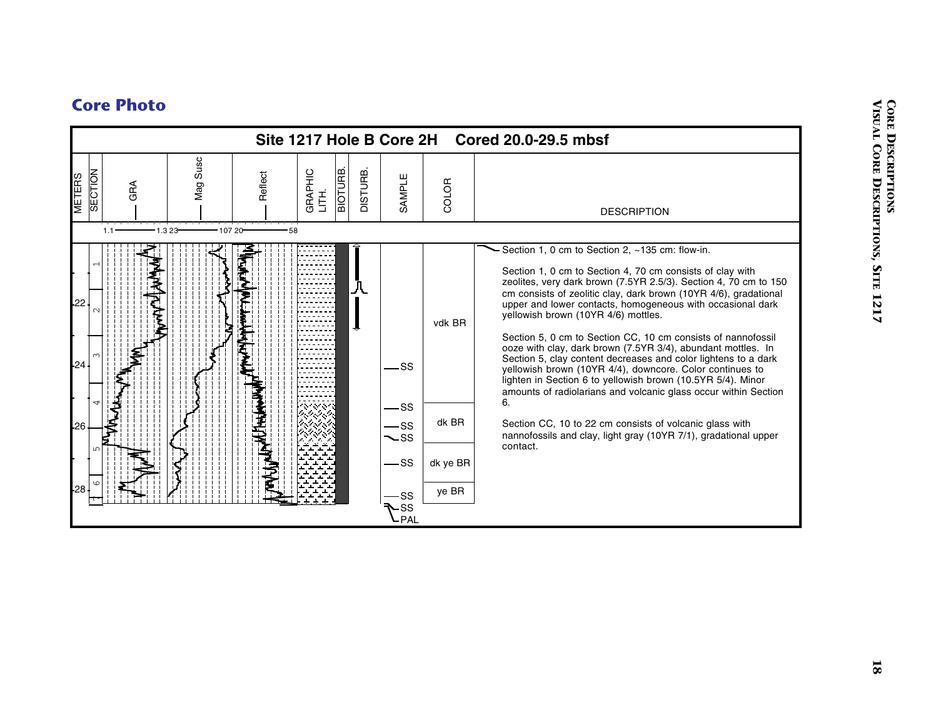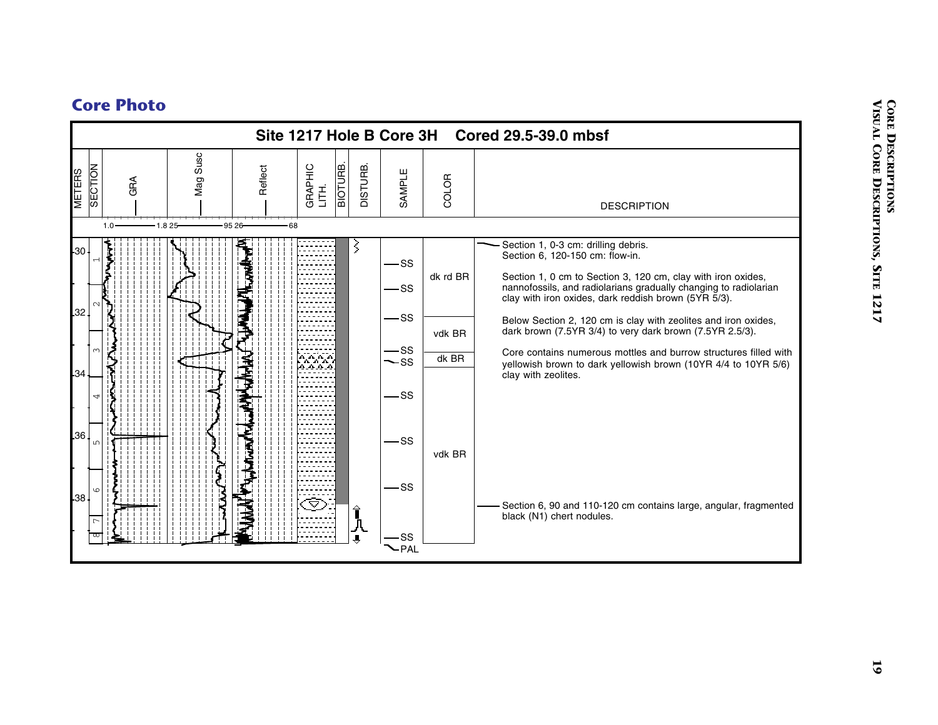![](_page_18_Figure_1.jpeg)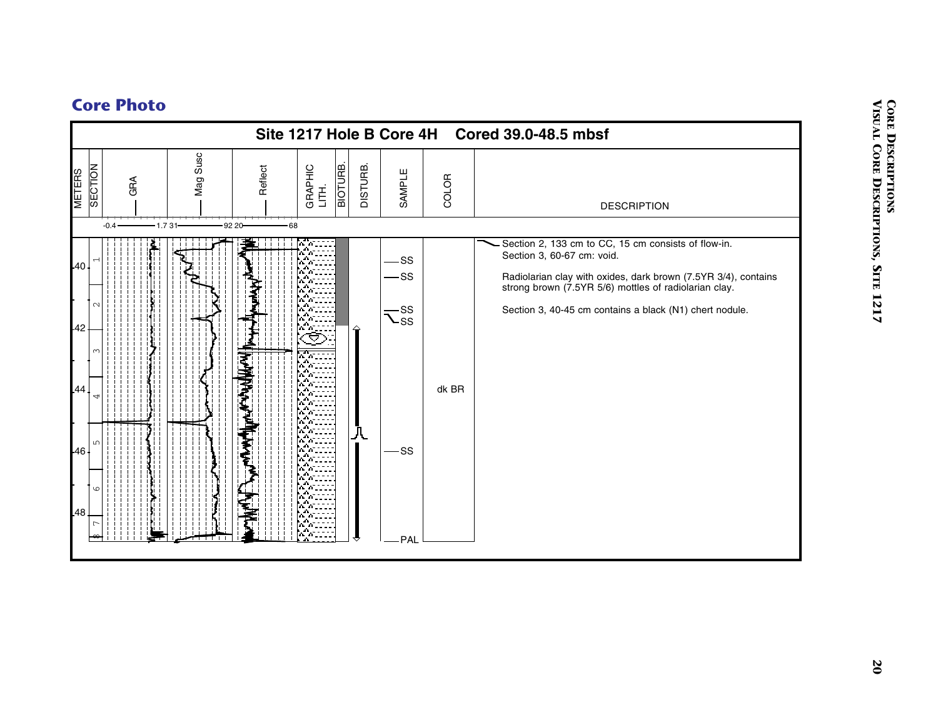![](_page_19_Figure_1.jpeg)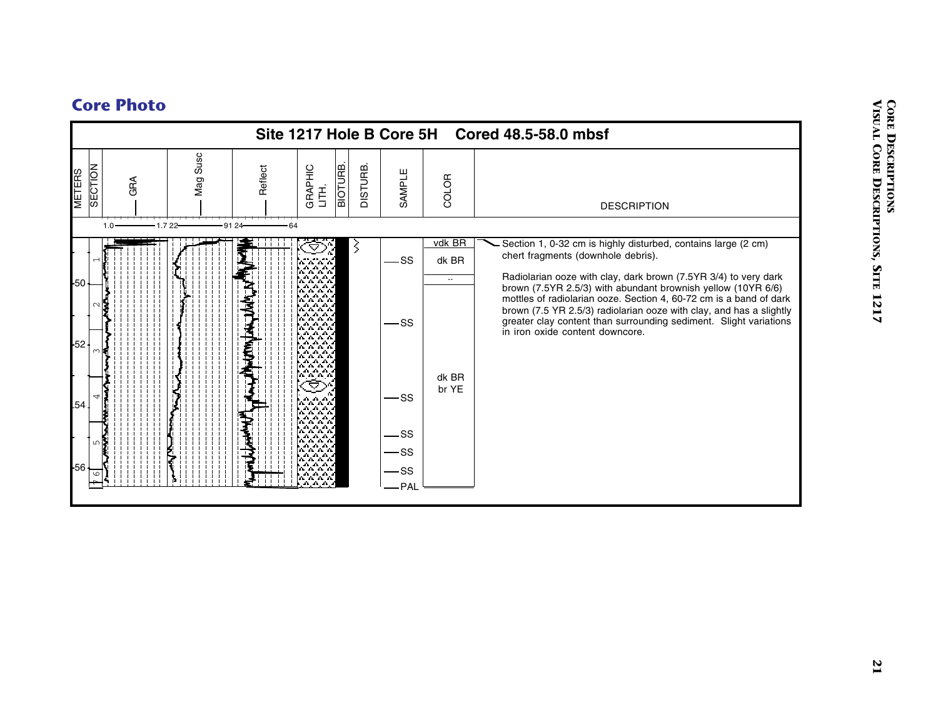![](_page_20_Figure_1.jpeg)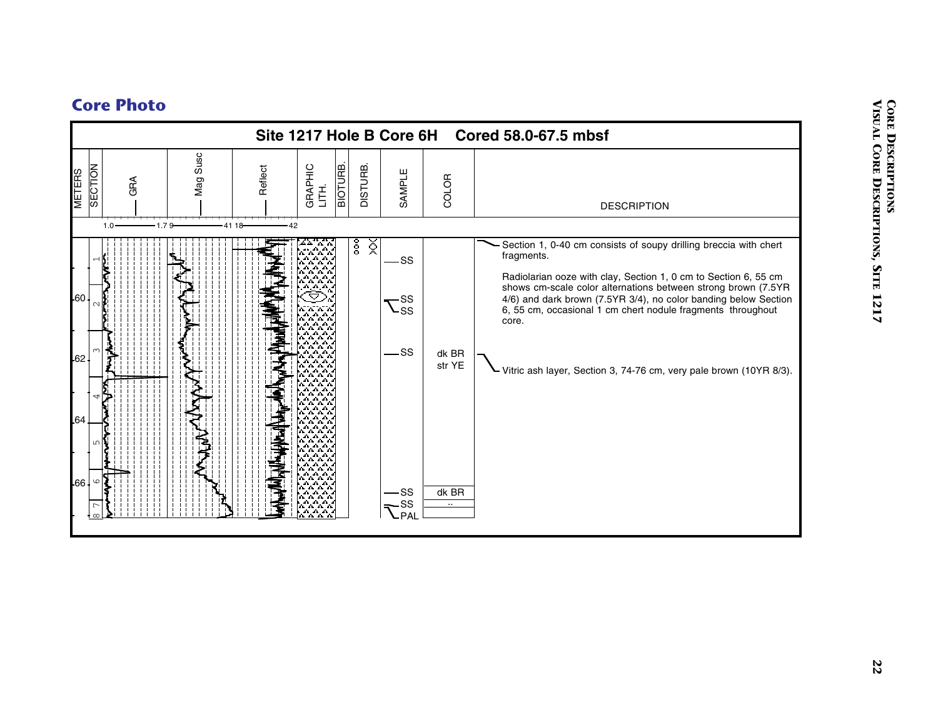![](_page_21_Figure_1.jpeg)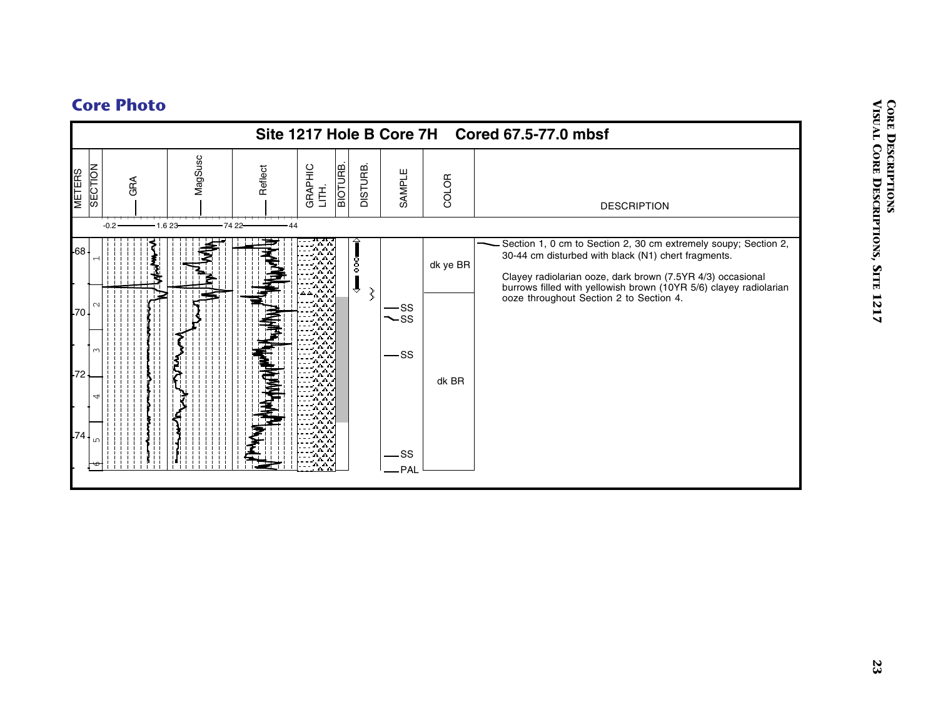![](_page_22_Figure_1.jpeg)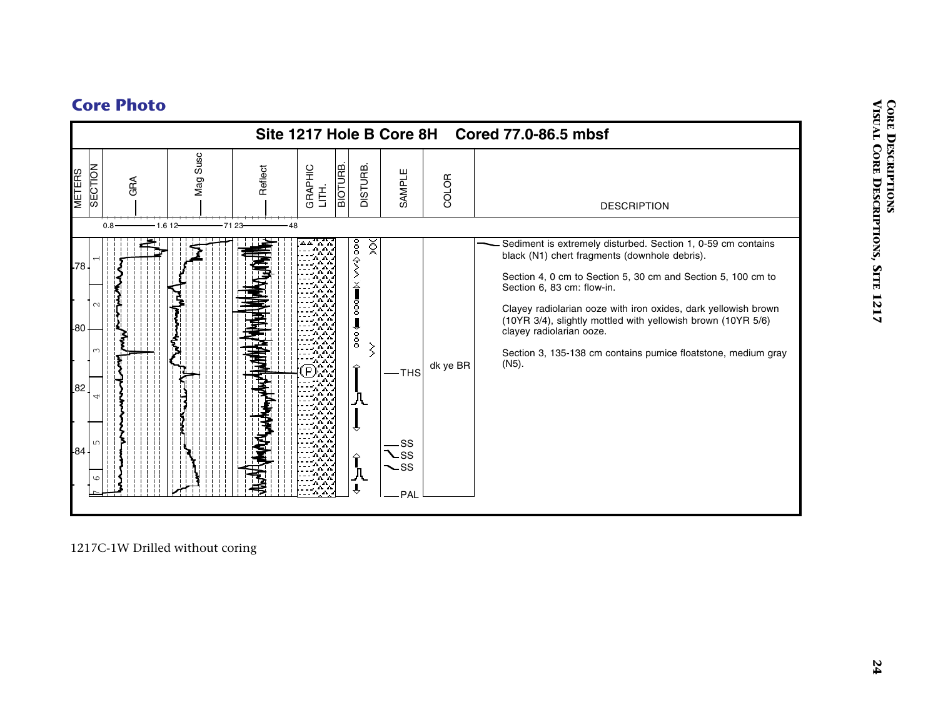![](_page_23_Figure_1.jpeg)

1217C-1W Drilled without coring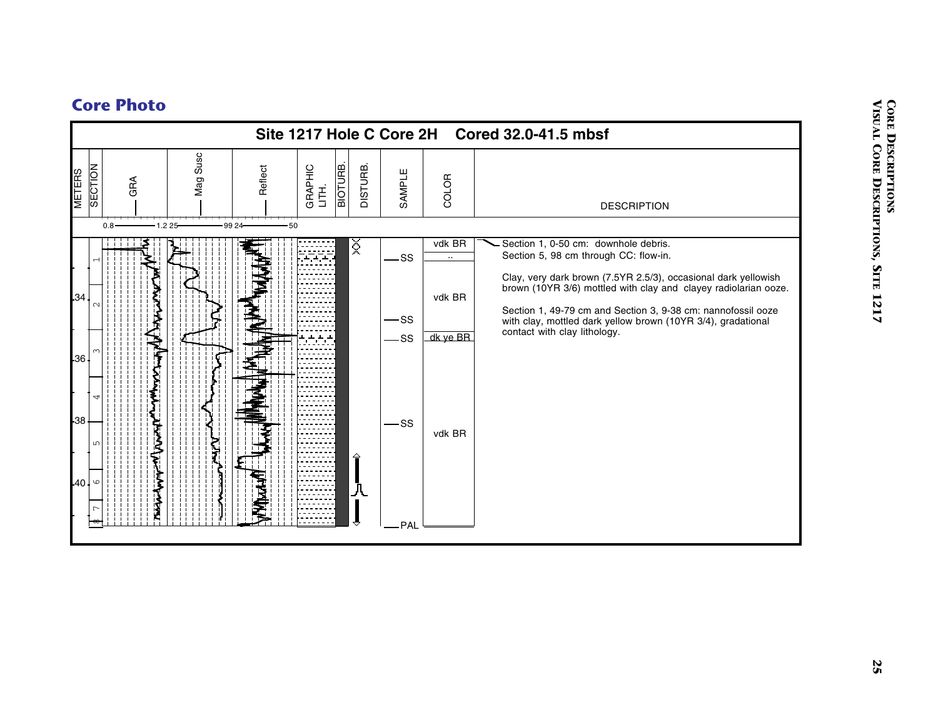![](_page_24_Figure_1.jpeg)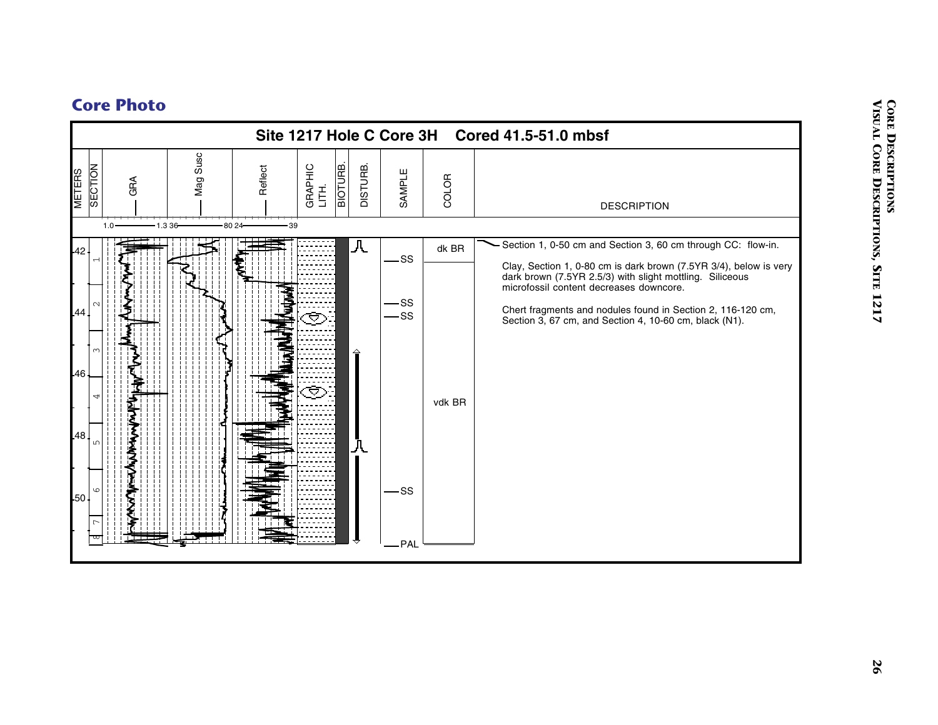![](_page_25_Figure_1.jpeg)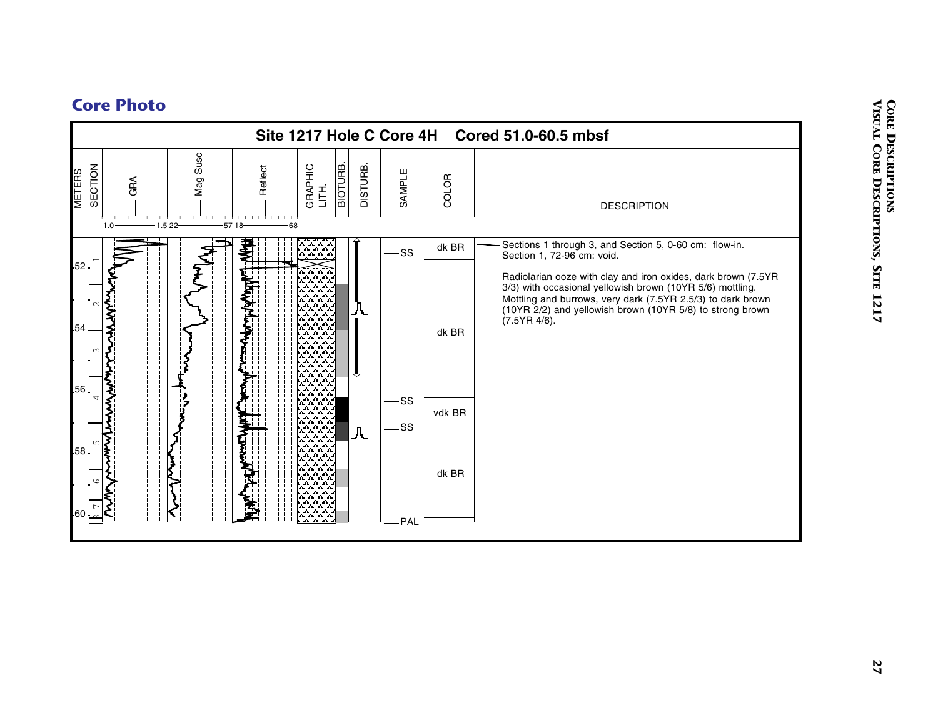![](_page_26_Figure_1.jpeg)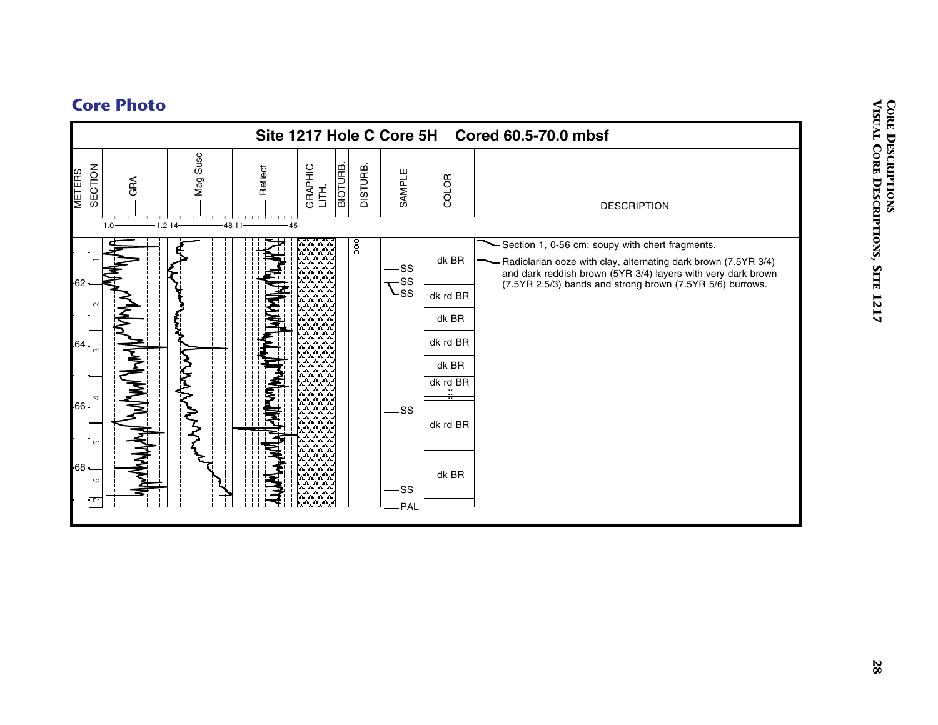![](_page_27_Figure_1.jpeg)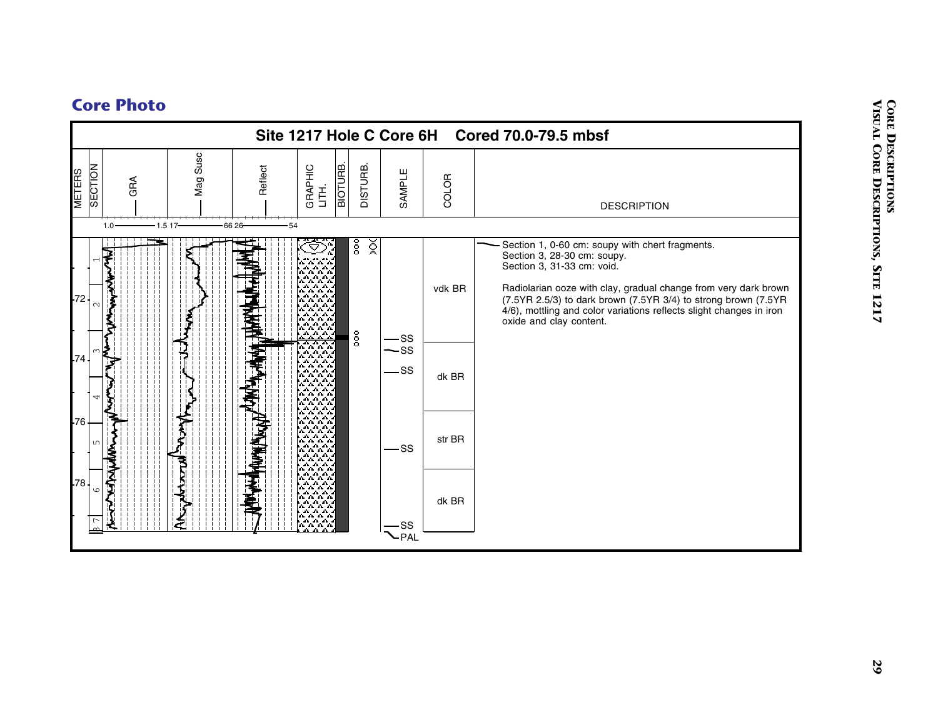![](_page_28_Figure_1.jpeg)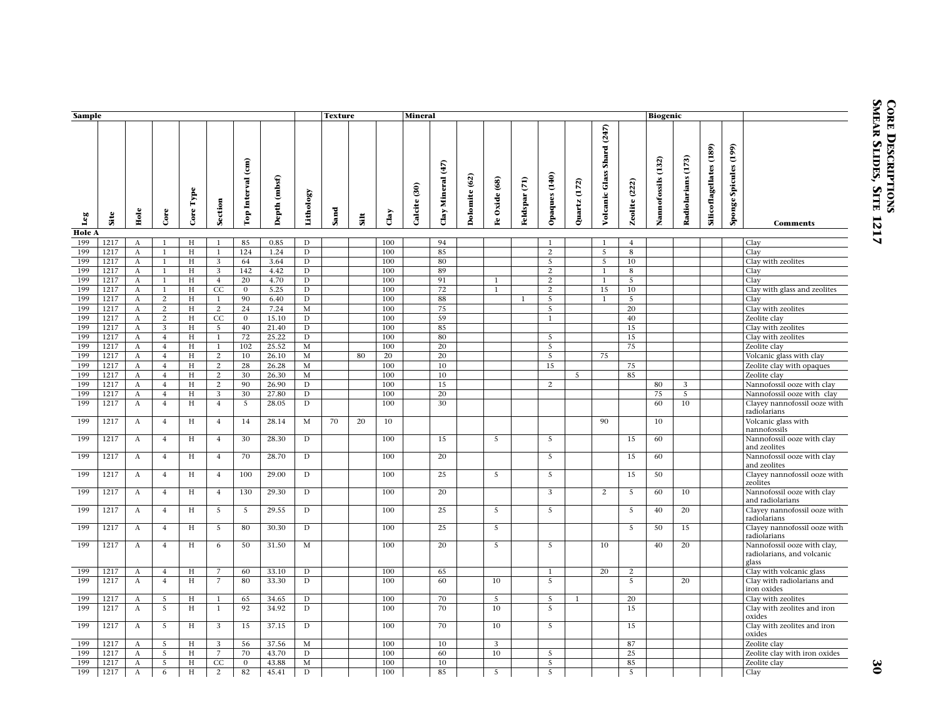| Sample               |              |                                               |                                  |                           |                   |                                          |                 |                         | <b>Texture</b> |      |            | <b>Mineral</b> |                                                |               |                 |               |                     |              |                                  |                  | <b>Biogenic</b>    |                       |                         |                              |                                                                    |
|----------------------|--------------|-----------------------------------------------|----------------------------------|---------------------------|-------------------|------------------------------------------|-----------------|-------------------------|----------------|------|------------|----------------|------------------------------------------------|---------------|-----------------|---------------|---------------------|--------------|----------------------------------|------------------|--------------------|-----------------------|-------------------------|------------------------------|--------------------------------------------------------------------|
| Leg                  | Site         | Hole                                          | Core                             | Type<br>Core <sup>'</sup> | Section           | $\widehat{(\mathbf{m})}$<br>Top Interval | (mbsf)<br>Depth | Lithology               | Sand           | siit | Clay       | Calcite (30)   | $\binom{47}{4}$<br>Mineral<br>$\mathbf{C}$ lay | Dolomite (62) | Oxide (68)<br>£ | Feldspar (71) | Opaques (140)       | Quartz (172) | (247)<br>Shard<br>Volcanic Glass | (222)<br>Zeolite | Nannofossils (132) | (173)<br>Radiolarians | Silicoflagellates (189) | (199)<br>Spicules<br>Sponge! | <b>Comments</b>                                                    |
| <b>Hole A</b><br>199 | 1217         | $\mathbf{A}$                                  | 1                                | H                         | 1                 | 85                                       | 0.85            | D                       |                |      | 100        |                | 94                                             |               |                 |               | $\mathbf{1}$        |              | 1                                | $\overline{4}$   |                    |                       |                         |                              | Clay                                                               |
| 199                  | 1217         | $\boldsymbol{A}$                              | $\mathbf{1}$                     | H                         | $\mathbf{1}$      | 124                                      | 1.24            | $\mathbf D$             |                |      | 100        |                | 85                                             |               |                 |               | $\overline{2}$      |              | 5                                | 8                |                    |                       |                         |                              | Clay                                                               |
| 199                  | 1217         | $\boldsymbol{A}$                              | $\mathbf{1}$                     | H                         | 3                 | 64                                       | 3.64            | $\mathbf D$             |                |      | 100        |                | 80                                             |               |                 |               | 5                   |              | 5                                | 10               |                    |                       |                         |                              | Clay with zeolites                                                 |
| 199                  | 1217         | $\mathbf{A}$                                  | $\mathbf{1}$                     | H                         | 3                 | 142                                      | 4.42            | $\overline{D}$          |                |      | 100        |                | 89                                             |               |                 |               | $\overline{2}$      |              | $\mathbf{1}$                     | 8                |                    |                       |                         |                              | Clay                                                               |
| 199                  | 1217         | $\boldsymbol{A}$                              | $\mathbf{1}$                     | H                         | $\overline{4}$    | 20                                       | 4.70            | $\mathbf D$             |                |      | 100        |                | 91                                             |               | 1               |               | $\overline{2}$      |              | $\mathbf{1}$                     | 5                |                    |                       |                         |                              | Clay                                                               |
| 199                  | 1217         | $\boldsymbol{A}$                              | $\mathbf{1}$                     | H                         | CC                | $\overline{0}$                           | 5.25            | $\overline{\mathbf{D}}$ |                |      | 100        |                | 72                                             |               | $\mathbf{1}$    |               | $\overline{2}$      |              | 15                               | 10               |                    |                       |                         |                              | Clay with glass and zeolites                                       |
| 199<br>199           | 1217<br>1217 | $\boldsymbol{\mathrm{A}}$<br>$\boldsymbol{A}$ | 2<br>2                           | H<br>H                    | $\mathbf{1}$<br>2 | 90<br>24                                 | 6.40<br>7.24    | $\mathbf D$<br>M        |                |      | 100<br>100 |                | 88<br>75                                       |               |                 | $\mathbf{1}$  | $\overline{5}$<br>5 |              | $\mathbf{1}$                     | $\sqrt{5}$<br>20 |                    |                       |                         |                              | Clay<br>Clay with zeolites                                         |
| 199                  | 1217         | $\boldsymbol{A}$                              | $\overline{c}$                   | H                         | CC                | $\mathbf{0}$                             | 15.10           | $\mathbf D$             |                |      | 100        |                | 59                                             |               |                 |               | $\mathbf{1}$        |              |                                  | 40               |                    |                       |                         |                              | Zeolite clay                                                       |
| 199                  | 1217         | $\boldsymbol{\mathrm{A}}$                     | 3                                | $_{\rm H}$                | $\overline{5}$    | 40                                       | 21.40           | $\mathbf D$             |                |      | 100        |                | 85                                             |               |                 |               |                     |              |                                  | 15               |                    |                       |                         |                              | Clay with zeolites                                                 |
| 199                  | 1217         | $\boldsymbol{A}$                              | $\overline{4}$                   | $_{\rm H}$                | $\mathbf{1}$      | 72                                       | 25.22           | $\mathbf D$             |                |      | 100        |                | 80                                             |               |                 |               | 5                   |              |                                  | 15               |                    |                       |                         |                              | Clay with zeolites                                                 |
| 199                  | 1217         | $\boldsymbol{A}$                              | $\overline{4}$                   | H                         | $\mathbf{1}$      | 102                                      | 25.52           | $\mathbf M$             |                |      | 100        |                | 20                                             |               |                 |               | 5                   |              |                                  | 75               |                    |                       |                         |                              | Zeolite clay                                                       |
| 199                  | 1217         | $\boldsymbol{A}$                              | $\overline{4}$                   | H                         | 2                 | 10                                       | 26.10           | $\mathbf M$             |                | 80   | 20         |                | 20                                             |               |                 |               | 5                   |              | 75                               |                  |                    |                       |                         |                              | Volcanic glass with clay                                           |
| 199                  | 1217         | A                                             | $\overline{4}$                   | Н                         | 2                 | 28                                       | 26.28           | M                       |                |      | 100        |                | 10                                             |               |                 |               | 15                  |              |                                  | 75               |                    |                       |                         |                              | Zeolite clay with opaques                                          |
| 199<br>199           | 1217<br>1217 | $\boldsymbol{A}$<br>$\mathbf{A}$              | $\overline{4}$<br>$\overline{4}$ | H<br>H                    | 2<br>2            | 30<br>90                                 | 26.30<br>26.90  | M<br>D                  |                |      | 100<br>100 |                | 10<br>15                                       |               |                 |               | 2                   | 5            |                                  | 85               | 80                 | 3                     |                         |                              | Zeolite clay                                                       |
| 199                  | 1217         | $\boldsymbol{A}$                              | $\overline{4}$                   | H                         | 3                 | 30                                       | 27.80           | $\mathbf D$             |                |      | 100        |                | 20                                             |               |                 |               |                     |              |                                  |                  | 75                 | 5                     |                         |                              | Nannofossil ooze with clay<br>Nannofossil ooze with clay           |
| 199                  | 1217         | $\mathbf{A}$                                  | $\overline{4}$                   | H                         | $\overline{4}$    | 5                                        | 28.05           | D                       |                |      | 100        |                | 30                                             |               |                 |               |                     |              |                                  |                  | 60                 | 10                    |                         |                              | Clayey nannofossil ooze with<br>radiolarians                       |
| 199                  | 1217         | $\boldsymbol{A}$                              | $\overline{4}$                   | H                         | $\overline{4}$    | 14                                       | 28.14           | M                       | 70             | 20   | 10         |                |                                                |               |                 |               |                     |              | 90                               |                  | 10                 |                       |                         |                              | Volcanic glass with<br>nannofossils                                |
| 199                  | 1217         | A                                             | $\overline{4}$                   | H                         | $\overline{4}$    | 30                                       | 28.30           | $\mathbf D$             |                |      | 100        |                | 15                                             |               | 5               |               | 5                   |              |                                  | 15               | 60                 |                       |                         |                              | Nannofossil ooze with clay<br>and zeolites                         |
| 199                  | 1217         | $\boldsymbol{A}$                              | $\overline{4}$                   | H                         | $\overline{4}$    | 70                                       | 28.70           | D                       |                |      | 100        |                | 20                                             |               |                 |               | 5                   |              |                                  | 15               | 60                 |                       |                         |                              | Nannofossil ooze with clay<br>and zeolites                         |
| 199                  | 1217         | A                                             | $\overline{4}$                   | Н                         | $\overline{4}$    | 100                                      | 29.00           | D                       |                |      | 100        |                | 25                                             |               | -5              |               | 5                   |              |                                  | 15               | 50                 |                       |                         |                              | Clayey nannofossil ooze with<br>zeolites                           |
| 199                  | 1217         | $\mathbf{A}$                                  | $\overline{4}$                   | H                         | $\overline{4}$    | 130                                      | 29.30           | D                       |                |      | 100        |                | 20                                             |               |                 |               | 3                   |              | 2                                | 5                | 60                 | 10                    |                         |                              | Nannofossil ooze with clay<br>and radiolarians                     |
| 199                  | 1217         | $\mathbf{A}$                                  | $\overline{4}$                   | H                         | $\overline{5}$    | $\overline{5}$                           | 29.55           | D                       |                |      | 100        |                | 25                                             |               | $\overline{5}$  |               | $\overline{5}$      |              |                                  | $\overline{5}$   | 40                 | 20                    |                         |                              | Clayey nannofossil ooze with<br>radiolarians                       |
| 199                  | 1217         | $\mathbf{A}$                                  | $\overline{4}$                   | H                         | 5                 | 80                                       | 30.30           | D                       |                |      | 100        |                | 25                                             |               | 5               |               |                     |              |                                  | 5                | 50                 | 15                    |                         |                              | Clayey nannofossil ooze with<br>radiolarians                       |
| 199                  | 1217         | $\boldsymbol{A}$                              | $\overline{4}$                   | H                         | 6                 | 50                                       | 31.50           | M                       |                |      | 100        |                | 20                                             |               | 5               |               | 5                   |              | 10                               |                  | 40                 | 20                    |                         |                              | Nannofossil ooze with clay,<br>radiolarians, and volcanic<br>glass |
| 199                  | 1217         | $\mathbf{A}$                                  | $\overline{4}$                   | H                         | $\overline{7}$    | 60                                       | 33.10           | $\overline{D}$          |                |      | 100        |                | 65                                             |               |                 |               | $\mathbf{1}$        |              | 20                               | 2                |                    |                       |                         |                              | Clay with volcanic glass                                           |
| 199                  | 1217         | A                                             | $\overline{4}$                   | H                         | $\overline{7}$    | 80                                       | 33.30           | D                       |                |      | 100        |                | 60                                             |               | 10              |               | 5                   |              |                                  | 5                |                    | 20                    |                         |                              | Clay with radiolarians and<br>iron oxides                          |
| 199                  | 1217         | $\boldsymbol{A}$                              | 5                                | Н                         | 1                 | 65                                       | 34.65           | D                       |                |      | 100        |                | 70                                             |               | 5               |               | 5                   | -1           |                                  | 20               |                    |                       |                         |                              | Clay with zeolites                                                 |
| 199                  | 1217         | $\boldsymbol{A}$                              | $\overline{5}$                   | H                         | 1                 | 92                                       | 34.92           | D                       |                |      | 100        |                | 70                                             |               | 10              |               | 5                   |              |                                  | 15               |                    |                       |                         |                              | Clay with zeolites and iron<br>oxides                              |
| 199                  | 1217         | $\mathbf{A}$                                  | $\overline{5}$                   | H                         | 3                 | 15                                       | 37.15           | $\mathbf{D}$            |                |      | 100        |                | 70                                             |               | 10              |               | 5                   |              |                                  | 15               |                    |                       |                         |                              | Clay with zeolites and iron<br>oxides                              |
| 199                  | 1217         | $\boldsymbol{A}$                              | 5                                | H                         | 3                 | 56                                       | 37.56           | M                       |                |      | 100        |                | 10                                             |               | 3               |               |                     |              |                                  | 87               |                    |                       |                         |                              | Zeolite clay                                                       |
| 199<br>199           | 1217<br>1217 | $\boldsymbol{A}$<br>$\boldsymbol{A}$          | 5<br>5                           | H<br>H                    | 7<br>CC           | 70<br>$\mathbf{0}$                       | 43.70<br>43.88  | $\mathbf D$<br>M        |                |      | 100<br>100 |                | 60<br>10                                       |               | 10              |               | 5<br>5              |              |                                  | 25<br>85         |                    |                       |                         |                              | Zeolite clay with iron oxides<br>Zeolite clay                      |
| 199                  | 1217         | $\boldsymbol{A}$                              | 6                                | H                         | $\overline{2}$    | 82                                       | 45.41           | D                       |                |      | 100        |                | 85                                             |               | 5               |               | $\overline{5}$      |              |                                  | $\sqrt{5}$       |                    |                       |                         |                              | Clay                                                               |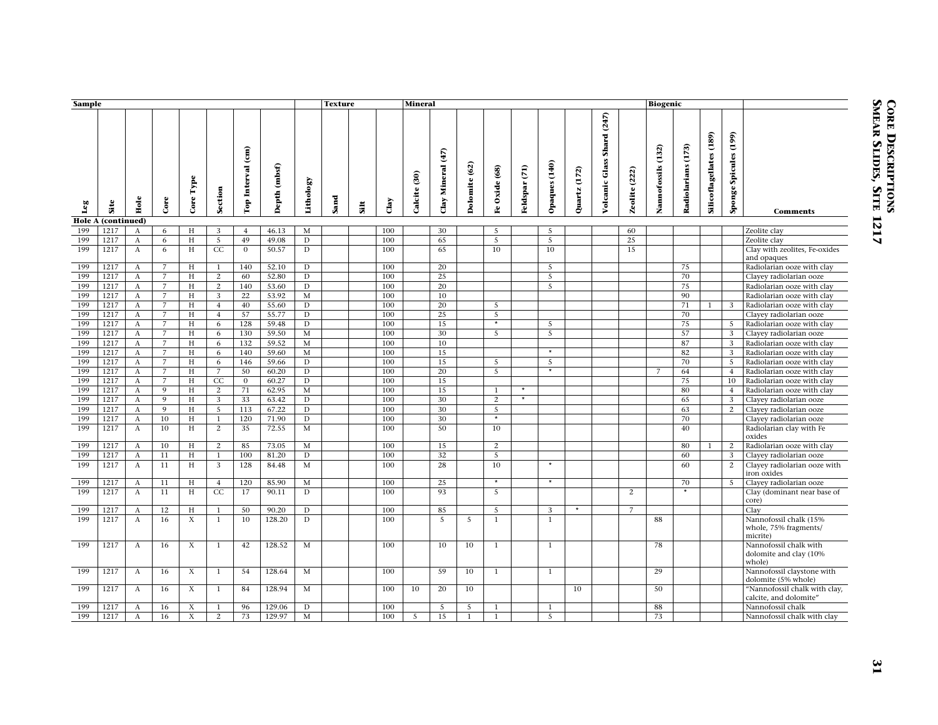| Sample        |              |                           |                     |                           |                     |                   |                |                | <b>Texture</b> |      |                | <b>Mineral</b> |                   |               |                    |               |                |                 |                                         |                      | <b>Biogenic</b>    |                         |                                |                       |                                                             |
|---------------|--------------|---------------------------|---------------------|---------------------------|---------------------|-------------------|----------------|----------------|----------------|------|----------------|----------------|-------------------|---------------|--------------------|---------------|----------------|-----------------|-----------------------------------------|----------------------|--------------------|-------------------------|--------------------------------|-----------------------|-------------------------------------------------------------|
| Leg           | Site         | Hole                      | Core                | Core Type                 | Section             | Top Interval (cm) | Depth (mbsf)   | Lithology      | Sand           | Silt | $_{\rm{Clay}}$ | Calcite (30)   | Clay Mineral (47) | Dolomite (62) | Fe Oxide (68)      | Feldspar (71) | Opaques (140)  | (172)<br>Quartz | (247)<br>Shard<br><b>Volcanic Glass</b> | <b>Zeolite</b> (222) | Nannofossils (132) | $(173)$<br>Radiolarians | <b>Silicoflagellates (189)</b> | Sponge Spicules (199) | <b>Comments</b>                                             |
| <b>Hole A</b> | (continued)  |                           |                     |                           |                     |                   |                |                |                |      |                |                |                   |               |                    |               |                |                 |                                         |                      |                    |                         |                                |                       |                                                             |
| 199           | 1217         | A                         | 6                   | H                         | 3                   | $\overline{4}$    | 46.13          | $\mathbf M$    |                |      | 100            |                | 30                |               | 5                  |               | $\overline{5}$ |                 |                                         | 60                   |                    |                         |                                |                       | Zeolite clay                                                |
| 199<br>199    | 1217<br>1217 | A                         | 6                   | H<br>H                    | 5                   | 49                | 49.08          | D              |                |      | 100            |                | 65                |               | 5<br>10            |               | 5              |                 |                                         | 25                   |                    |                         |                                |                       | Zeolite clay                                                |
|               |              | $\boldsymbol{A}$          | 6                   |                           | CC                  | $\mathbf{0}$      | 50.57          | D              |                |      | 100            |                | 65                |               |                    |               | 10             |                 |                                         | 15                   |                    |                         |                                |                       | Clay with zeolites, Fe-oxides<br>and opaques                |
| 199           | 1217         | А                         | $\overline{7}$      | Н                         | $\mathbf{1}$        | 140               | 52.10          | $\mathbf D$    |                |      | 100            |                | 20                |               |                    |               | 5              |                 |                                         |                      |                    | 75                      |                                |                       | Radiolarian ooze with clay                                  |
| 199           | 1217         | $\bf{A}$                  | $\overline{7}$      | H                         | 2                   | 60                | 52.80          | $\mathbf D$    |                |      | 100            |                | 25                |               |                    |               | $\overline{5}$ |                 |                                         |                      |                    | 70                      |                                |                       | Clayey radiolarian ooze                                     |
| 199           | 1217         | $\bf{A}$                  | $\overline{7}$      | H                         | 2                   | 140               | 53.60          | D              |                |      | 100            |                | 20                |               |                    |               | 5              |                 |                                         |                      |                    | 75                      |                                |                       | Radiolarian ooze with clay                                  |
| 199<br>199    | 1217<br>1217 | $\boldsymbol{A}$<br>A     | 7<br>$\overline{7}$ | H<br>H                    | 3<br>$\overline{4}$ | 22<br>40          | 53.92<br>55.60 | M<br>D         |                |      | 100<br>100     |                | 10<br>20          |               | 5                  |               |                |                 |                                         |                      |                    | 90<br>71                | $\mathbf{1}$                   | -3                    | Radiolarian ooze with clay<br>Radiolarian ooze with clay    |
| 199           | 1217         | $\mathbf{A}$              | $\overline{7}$      | H                         | $\overline{4}$      | 57                | 55.77          | $\overline{D}$ |                |      | 100            |                | 25                |               | 5                  |               |                |                 |                                         |                      |                    | 70                      |                                |                       | Clayey radiolarian ooze                                     |
| 199           | 1217         | $\mathbf{A}$              | $\overline{7}$      | H                         | 6                   | 128               | 59.48          | $\mathbf D$    |                |      | 100            |                | 15                |               | $\overline{\cdot}$ |               | $\overline{5}$ |                 |                                         |                      |                    | $\overline{75}$         |                                | 5                     | Radiolarian ooze with clay                                  |
| 199           | 1217         | $\mathbf{A}$              | 7                   | H                         | 6                   | 130               | 59.50          | M              |                |      | 100            |                | 30 <sup>2</sup>   |               | $\overline{5}$     |               | $\overline{5}$ |                 |                                         |                      |                    | 57                      |                                | 3                     | Clayey radiolarian ooze                                     |
| 199           | 1217         | A                         | $\overline{7}$      | H                         | 6                   | 132               | 59.52          | M              |                |      | 100            |                | 10                |               |                    |               |                |                 |                                         |                      |                    | 87                      |                                | 3                     | Radiolarian ooze with clay                                  |
| 199           | 1217         | $\boldsymbol{A}$          | 7                   | H                         | 6                   | 140               | 59.60          | $\mathbf M$    |                |      | 100            |                | 15                |               |                    |               | $\star$        |                 |                                         |                      |                    | 82                      |                                | 3                     | Radiolarian ooze with clay                                  |
| 199           | 1217         | $\bf{A}$                  | $\overline{7}$      | H                         | 6                   | 146               | 59.66          | $\mathbf D$    |                |      | 100            |                | 15                |               | 5                  |               | $\overline{5}$ |                 |                                         |                      |                    | 70                      |                                | 5                     | Radiolarian ooze with clay                                  |
| 199           | 1217         | A                         | 7                   | H                         | $\overline{7}$      | 50                | 60.20          | $\mathbf D$    |                |      | 100            |                | 20                |               | $\overline{5}$     |               | $\star$        |                 |                                         |                      | $7\overline{ }$    | 64                      |                                | $\overline{4}$        | Radiolarian ooze with clay                                  |
| 199           | 1217         | A                         | $\overline{7}$      | H                         | $\overline{CC}$     | $\mathbf{0}$      | 60.27          | $\overline{D}$ |                |      | 100            |                | 15                |               |                    |               |                |                 |                                         |                      |                    | 75                      |                                | 10                    | Radiolarian ooze with clay                                  |
| 199           | 1217         | A                         | 9                   | H                         | 2                   | 71                | 62.95          | $\mathbf M$    |                |      | 100            |                | 15                |               | $\mathbf{1}$       |               |                |                 |                                         |                      |                    | 80                      |                                | $\overline{4}$        | Radiolarian ooze with clay                                  |
| 199           | 1217         | $\boldsymbol{A}$          | 9                   | H                         | 3                   | 33                | 63.42          | $\mathbf D$    |                |      | 100            |                | 30                |               | $\overline{2}$     | $\star$       |                |                 |                                         |                      |                    | 65                      |                                | 3                     | Clayey radiolarian ooze                                     |
| 199           | 1217         | $\boldsymbol{A}$          | 9                   | Н                         | 5                   | 113               | 67.22          | D              |                |      | 100            |                | 30                |               | 5                  |               |                |                 |                                         |                      |                    | 63                      |                                | 2                     | Clayey radiolarian ooze                                     |
| 199           | 1217         | $\mathbf{A}$              | 10                  | H                         | $\mathbf{1}$        | 120               | 71.90          | $\mathbf D$    |                |      | 100            |                | 30                |               | $\star$            |               |                |                 |                                         |                      |                    | 70                      |                                |                       | Clayey radiolarian ooze                                     |
| 199           | 1217         | $\mathbf{A}$              | 10                  | H                         | 2                   | 35                | 72.55          | $\mathbf M$    |                |      | 100            |                | 50                |               | 10                 |               |                |                 |                                         |                      |                    | 40                      |                                |                       | Radiolarian clay with Fe<br>oxides                          |
| 199           | 1217         | $\boldsymbol{A}$          | 10                  | H                         | 2                   | 85                | 73.05          | M              |                |      | 100            |                | 15                |               | 2                  |               |                |                 |                                         |                      |                    | 80                      | $\mathbf{1}$                   | 2                     | Radiolarian ooze with clay                                  |
| 199           | 1217         | A                         | 11                  | H                         | $\mathbf{1}$        | 100               | 81.20          | D              |                |      | 100            |                | 32                |               | 5                  |               |                |                 |                                         |                      |                    | 60                      |                                | 3                     | Clayey radiolarian ooze                                     |
| 199           | 1217         | $\bf{A}$                  | 11                  | H                         | 3                   | 128               | 84.48          | $\mathbf M$    |                |      | 100            |                | 28                |               | 10                 |               | $\star$        |                 |                                         |                      |                    | 60                      |                                | 2                     | Clayey radiolarian ooze with<br>iron oxides                 |
| 199           | 1217         | A                         | 11                  | H                         | $\overline{4}$      | 120               | 85.90          | $\mathbf M$    |                |      | 100            |                | 25                |               | $\star$            |               | $\star$        |                 |                                         |                      |                    | 70                      |                                | 5                     | Clayey radiolarian ooze                                     |
| 199           | 1217         | $\mathbf{A}$              | 11                  | H                         | CC                  | 17                | 90.11          | D              |                |      | 100            |                | 93                |               | $\overline{5}$     |               |                |                 |                                         | 2                    |                    | $\star$                 |                                |                       | Clay (dominant near base of<br>core)                        |
| 199           | 1217         | А                         | 12                  | H                         | $\mathbf{1}$        | 50                | 90.20          | $\mathbf D$    |                |      | 100            |                | 85                |               | 5                  |               | 3              | $\star$         |                                         | $\overline{7}$       |                    |                         |                                |                       | Clay                                                        |
| 199           | 1217         | A                         | 16                  | X                         | $\mathbf{1}$        | 10                | 128.20         | D              |                |      | 100            |                | 5                 | 5             | $\overline{1}$     |               | $\mathbf{1}$   |                 |                                         |                      | 88                 |                         |                                |                       | Nannofossil chalk (15%<br>whole, 75% fragments/<br>micrite) |
| 199           | 1217         | $\boldsymbol{A}$          | 16                  | $\boldsymbol{\mathrm{X}}$ | $\mathbf{1}$        | 42                | 128.52         | M              |                |      | 100            |                | 10                | 10            | $\mathbf{1}$       |               | $\mathbf{1}$   |                 |                                         |                      | 78                 |                         |                                |                       | Nannofossil chalk with<br>dolomite and clay (10%<br>whole)  |
| 199           | 1217         | $\mathbf{A}$              | 16                  | X                         | $\mathbf{1}$        | 54                | 128.64         | M              |                |      | 100            |                | 59                | 10            | $\mathbf{1}$       |               | $\mathbf{1}$   |                 |                                         |                      | 29                 |                         |                                |                       | Nannofossil claystone with<br>dolomite (5% whole)           |
| 199           | 1217         | $\mathbf{A}$              | 16                  | $\boldsymbol{\mathrm{X}}$ | $\mathbf{1}$        | 84                | 128.94         | $\mathbf M$    |                |      | 100            | 10             | 20                | 10            |                    |               |                | 10              |                                         |                      | 50                 |                         |                                |                       | "Nannofossil chalk with clay,<br>calcite, and dolomite"     |
| 199           | 1217         | A                         | 16                  | X                         | 1                   | 96                | 129.06         | D              |                |      | 100            |                | -5                | -5            | $\mathbf{1}$       |               | -1             |                 |                                         |                      | 88                 |                         |                                |                       | Nannofossil chalk                                           |
| 199           | 1217         | $\boldsymbol{\mathrm{A}}$ | 16                  | $\overline{X}$            | $\overline{2}$      | 73                | 129.97         | M              |                |      | 100            | $\overline{5}$ | 15                | $\mathbf{1}$  | $\mathbf{1}$       |               | $\overline{5}$ |                 |                                         |                      | 73                 |                         |                                |                       | Nannofossil chalk with clay                                 |

# **CORE DESCRIPTIONS SMEAR SLIDES, SITE 1217**